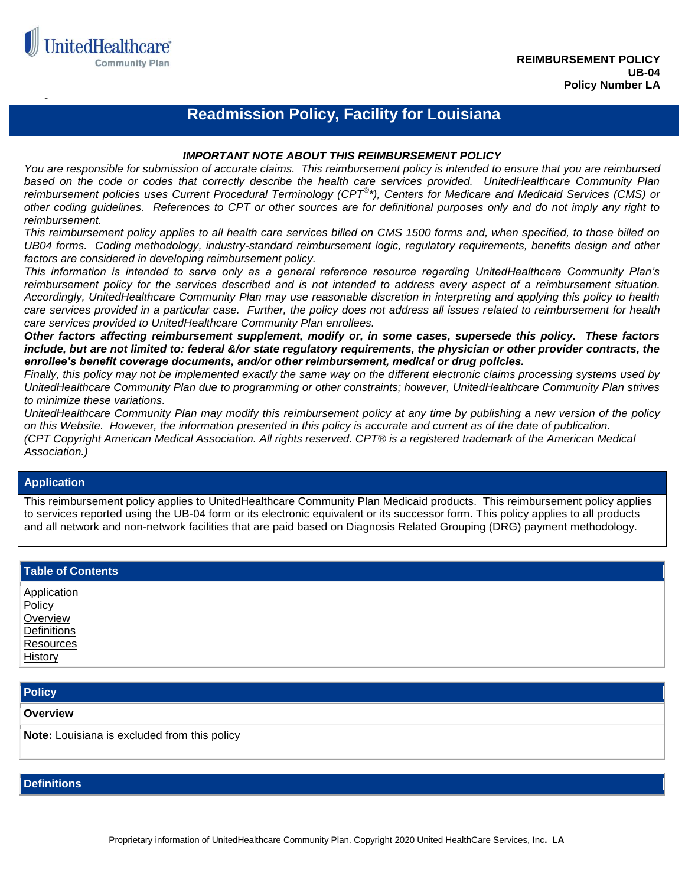

-

# **Readmission Policy, Facility for Louisiana**

#### *IMPORTANT NOTE ABOUT THIS REIMBURSEMENT POLICY*

*You are responsible for submission of accurate claims. This reimbursement policy is intended to ensure that you are reimbursed based on the code or codes that correctly describe the health care services provided. UnitedHealthcare Community Plan reimbursement policies uses Current Procedural Terminology (CPT® \*), Centers for Medicare and Medicaid Services (CMS) or other coding guidelines. References to CPT or other sources are for definitional purposes only and do not imply any right to reimbursement.*

*This reimbursement policy applies to all health care services billed on CMS 1500 forms and, when specified, to those billed on UB04 forms. Coding methodology, industry-standard reimbursement logic, regulatory requirements, benefits design and other factors are considered in developing reimbursement policy.*

*This information is intended to serve only as a general reference resource regarding UnitedHealthcare Community Plan's reimbursement policy for the services described and is not intended to address every aspect of a reimbursement situation. Accordingly, UnitedHealthcare Community Plan may use reasonable discretion in interpreting and applying this policy to health care services provided in a particular case. Further, the policy does not address all issues related to reimbursement for health care services provided to UnitedHealthcare Community Plan enrollees.* 

*Other factors affecting reimbursement supplement, modify or, in some cases, supersede this policy. These factors include, but are not limited to: federal &/or state regulatory requirements, the physician or other provider contracts, the enrollee's benefit coverage documents, and/or other reimbursement, medical or drug policies.* 

*Finally, this policy may not be implemented exactly the same way on the different electronic claims processing systems used by UnitedHealthcare Community Plan due to programming or other constraints; however, UnitedHealthcare Community Plan strives to minimize these variations.*

*UnitedHealthcare Community Plan may modify this reimbursement policy at any time by publishing a new version of the policy on this Website. However, the information presented in this policy is accurate and current as of the date of publication. (CPT Copyright American Medical Association. All rights reserved. CPT® is a registered trademark of the American Medical Association.)*

### <span id="page-0-0"></span>**Application**

This reimbursement policy applies to UnitedHealthcare Community Plan Medicaid products. This reimbursement policy applies to services reported using the UB-04 form or its electronic equivalent or its successor form. This policy applies to all products and all network and non-network facilities that are paid based on Diagnosis Related Grouping (DRG) payment methodology.

# **Table of Contents** [Application](#page-0-0) [Policy](#page-0-1) **[Overview](#page-0-2) Definitions [Resources](#page-1-0) [History](#page-1-1)**

### <span id="page-0-1"></span>**Policy**

<span id="page-0-2"></span>**Overview**

**Note:** Louisiana is excluded from this policy

### **Definitions**